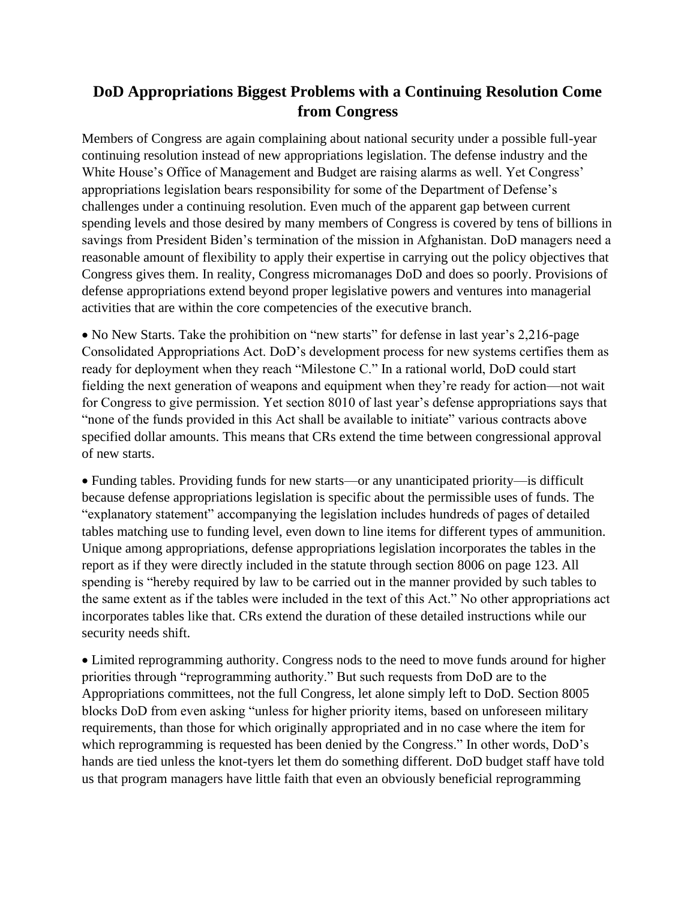## **DoD Appropriations Biggest Problems with a Continuing Resolution Come from Congress**

Members of Congress are again complaining about national security under a possible full-year continuing resolution instead of new appropriations legislation. The defense industry and the White House's Office of Management and Budget are raising alarms as well. Yet Congress' appropriations legislation bears responsibility for some of the Department of Defense's challenges under a continuing resolution. Even much of the apparent gap between current spending levels and those desired by many members of Congress is covered by tens of billions in savings from President Biden's termination of the mission in Afghanistan. DoD managers need a reasonable amount of flexibility to apply their expertise in carrying out the policy objectives that Congress gives them. In reality, Congress micromanages DoD and does so poorly. Provisions of defense appropriations extend beyond proper legislative powers and ventures into managerial activities that are within the core competencies of the executive branch.

• No New Starts. Take the prohibition on "new starts" for defense in last year's 2,216-page Consolidated Appropriations Act. DoD's development process for new systems certifies them as ready for deployment when they reach "Milestone C." In a rational world, DoD could start fielding the next generation of weapons and equipment when they're ready for action—not wait for Congress to give permission. Yet section 8010 of last year's defense appropriations says that "none of the funds provided in this Act shall be available to initiate" various contracts above specified dollar amounts. This means that CRs extend the time between congressional approval of new starts.

• Funding tables. Providing funds for new starts—or any unanticipated priority—is difficult because defense appropriations legislation is specific about the permissible uses of funds. The "explanatory statement" accompanying the legislation includes hundreds of pages of detailed tables matching use to funding level, even down to line items for different types of ammunition. Unique among appropriations, defense appropriations legislation incorporates the tables in the report as if they were directly included in the statute through section 8006 on page 123. All spending is "hereby required by law to be carried out in the manner provided by such tables to the same extent as if the tables were included in the text of this Act." No other appropriations act incorporates tables like that. CRs extend the duration of these detailed instructions while our security needs shift.

• Limited reprogramming authority. Congress nods to the need to move funds around for higher priorities through "reprogramming authority." But such requests from DoD are to the Appropriations committees, not the full Congress, let alone simply left to DoD. Section 8005 blocks DoD from even asking "unless for higher priority items, based on unforeseen military requirements, than those for which originally appropriated and in no case where the item for which reprogramming is requested has been denied by the Congress." In other words, DoD's hands are tied unless the knot-tyers let them do something different. DoD budget staff have told us that program managers have little faith that even an obviously beneficial reprogramming